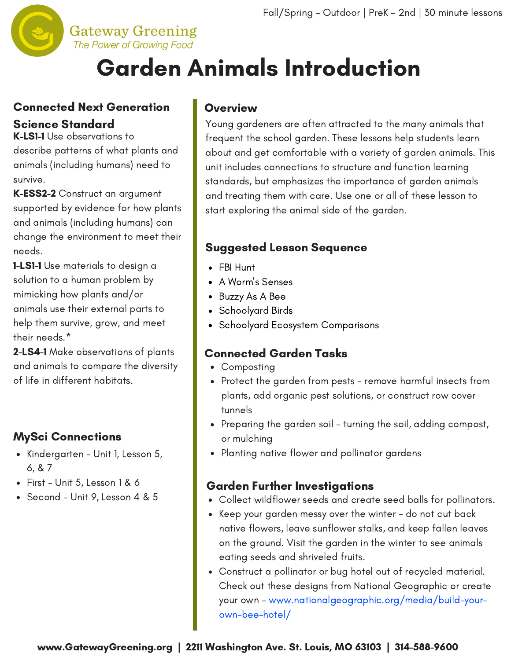

#### **Gateway Greening** The Power of Growing Food

# Garden Animals Introduction

### Connected Next Generation Science Standard

K-LS1-1 Use observations to describe patterns of what plants and animals (including humans) need to survive.

K-ESS2-2 Construct an argument supported by evidence for how plants and animals (including humans) can change the environment to meet their needs.

**1-LS1-1** Use materials to design a solution to a human problem by mimicking how plants and/or animals use their external parts to help them survive, grow, and meet their needs.\*

2-LS4-1 Make observations of plants and animals to compare the diversity of life in different habitats.

### MySci Connections

- Kindergarten Unit 1, Lesson 5, 6, & 7
- $\bullet$  First Unit 5, Lesson 1 & 6
- Second Unit 9, Lesson 4 & 5

### **Overview**

Young gardeners are often attracted to the many animals that frequent the school garden. These lessons help students learn about and get [comfortable](http://www.gatewaygreening.org/wp-content/uploads/2018/08/Gateway-Greening-Planting-Calendar-2018.pdf) with a variety of garden animals. This unit includes connections to structure and function learning standards, but emphasizes the importance of garden animals and treating them with care. Use one or all of these lesson to start exploring the animal side of the garden.

### Suggested Lesson Sequence

- FBI Hunt
- A Worm's Senses
- Buzzy As A Bee
- Schoolyard Birds
- Schoolyard Ecosystem Comparisons

### Connected Garden Tasks

- Composting
- Protect the garden from pests remove harmful insects from plants, add organic pest solutions, or construct row cover tunnels
- Preparing the garden soil turning the soil, adding compost, or mulching
- Planting native flower and pollinator gardens

### Garden Further Investigations

- Collect wildflower seeds and create seed balls for pollinators.
- Keep your garden messy over the winter do not cut back native flowers, leave sunflower stalks, and keep fallen leaves on the ground. Visit the garden in the winter to see animals eating seeds and shriveled fruits.
- Construct a pollinator or bug hotel out of recycled material. Check out these designs from National Geographic or create your own - www.nationalgeographic.org/media/build-yourown-bee-hotel/